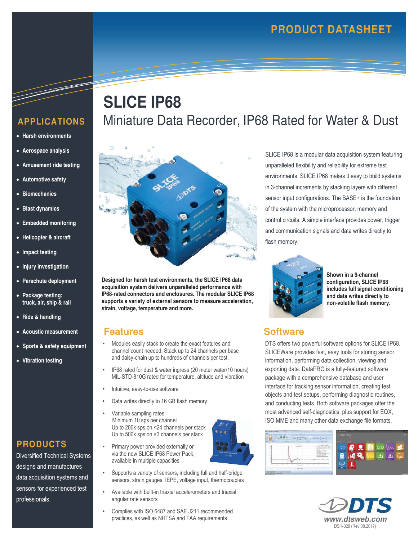## **APPLICATIONS**

- **Harsh environments**
- **Aerospace analysis**
- **Amusement ride testing**
- **Automotive safety**
- **Biomechanics**
- **Blast dynamics**
- **Embedded monitoring**
- **Helicopter & aircraft**
- **Impact testing**
- **Injury investigation**
- **Parachute deployment**
- **Package testing: truck, air, ship & rail**
- **Ride & handling**
- **Acoustic measurement**
- **Sports & safety equipment**
- **Vibration testing**

**PRODUCTS** 

professionals.

Diversified Technical Systems designs and manufactures data acquisition systems and sensors for experienced test

# **SLICE IP68** Miniature Data Recorder, IP68 Rated for Water & Dust



**Designed for harsh test environments, the SLICE IP68 data acquisition system delivers unparalleled performance with IP68-rated connectors and enclosures. The modular SLICE IP68 supports a variety of external sensors to measure acceleration, strain, voltage, temperature and more.** 

#### **Features**

- Modules easily stack to create the exact features and channel count needed. Stack up to 24 channels per base and daisy-chain up to hundreds of channels per test.
- IP68 rated for dust & water ingress (20 meter water/10 hours) MIL-STD-810G rated for temperature, altitude and vibration
- 
- 
- Minimum 10 sps per channel Up to 500k sps on ≤3 channels per stack
	- Supports a variety of sensors, including full and half-bridge sensors, strain gauges, IEPE, voltage input, thermocouples
- Available with built-in triaxial accelerometers and triaxial angular rate sensors
- Complies with ISO 6487 and SAE J211 recommended practices, as well as NHTSA and FAA requirements **www.dtsweb.com**

SLICE IP68 is a modular data acquisition system featuring unparalleled flexibility and reliability for extreme test environments. SLICE IP68 makes it easy to build systems in 3-channel increments by stacking layers with different sensor input configurations. The BASE+ is the foundation of the system with the microprocessor, memory and control circuits. A simple interface provides power, trigger and communication signals and data writes directly to flash memory.



**Shown in a 9-channel configuration, SLICE IP68 includes full signal conditioning and data writes directly to non-volatile flash memory.** 

### **Software**

DTS offers two powerful software options for SLICE IP68. SLICEWare provides fast, easy tools for storing sensor information, performing data collection, viewing and exporting data. DataPRO is a fully-featured software package with a comprehensive database and user interface for tracking sensor information, creating test objects and test setups, performing diagnostic routines, and conducting tests. Both software packages offer the most advanced self-diagnostics, plus support for EQX, ISO MME and many other data exchange file formats.





- Intuitive, easy-to-use software
	- Data writes directly to 16 GB flash memory
	- Variable sampling rates: Up to 200k sps on ≤24 channels per stack
	- Primary power provided externally or via the new SLICE IP68 Power Pack, available in multiple capacities